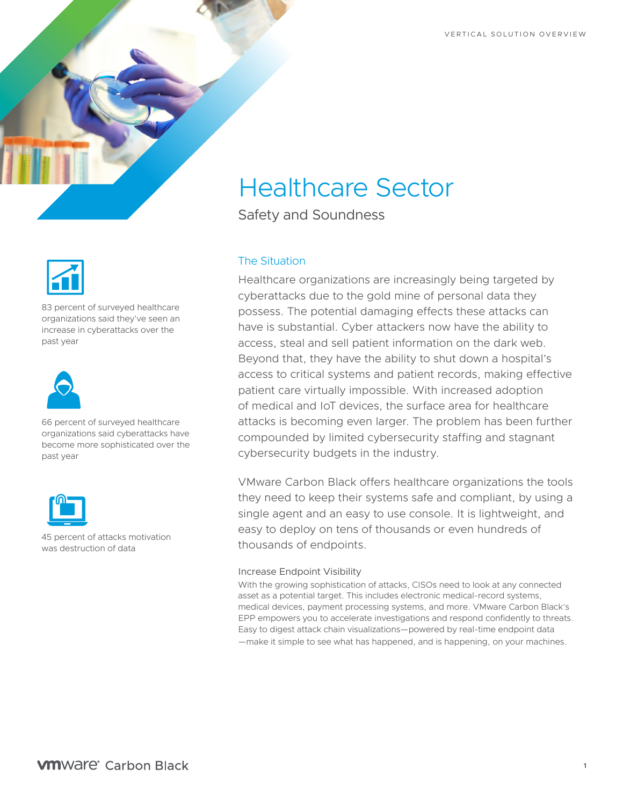



83 percent of surveyed healthcare organizations said they've seen an increase in cyberattacks over the past year



66 percent of surveyed healthcare organizations said cyberattacks have become more sophisticated over the past year



45 percent of attacks motivation was destruction of data

# Healthcare Sector

Safety and Soundness

## The Situation

Healthcare organizations are increasingly being targeted by cyberattacks due to the gold mine of personal data they possess. The potential damaging effects these attacks can have is substantial. Cyber attackers now have the ability to access, steal and sell patient information on the dark web. Beyond that, they have the ability to shut down a hospital's access to critical systems and patient records, making effective patient care virtually impossible. With increased adoption of medical and IoT devices, the surface area for healthcare attacks is becoming even larger. The problem has been further compounded by limited cybersecurity staffing and stagnant cybersecurity budgets in the industry.

VMware Carbon Black offers healthcare organizations the tools they need to keep their systems safe and compliant, by using a single agent and an easy to use console. It is lightweight, and easy to deploy on tens of thousands or even hundreds of thousands of endpoints.

### Increase Endpoint Visibility

With the growing sophistication of attacks, CISOs need to look at any connected asset as a potential target. This includes electronic medical-record systems, medical devices, payment processing systems, and more. VMware Carbon Black's EPP empowers you to accelerate investigations and respond confidently to threats. Easy to digest attack chain visualizations—powered by real-time endpoint data —make it simple to see what has happened, and is happening, on your machines.